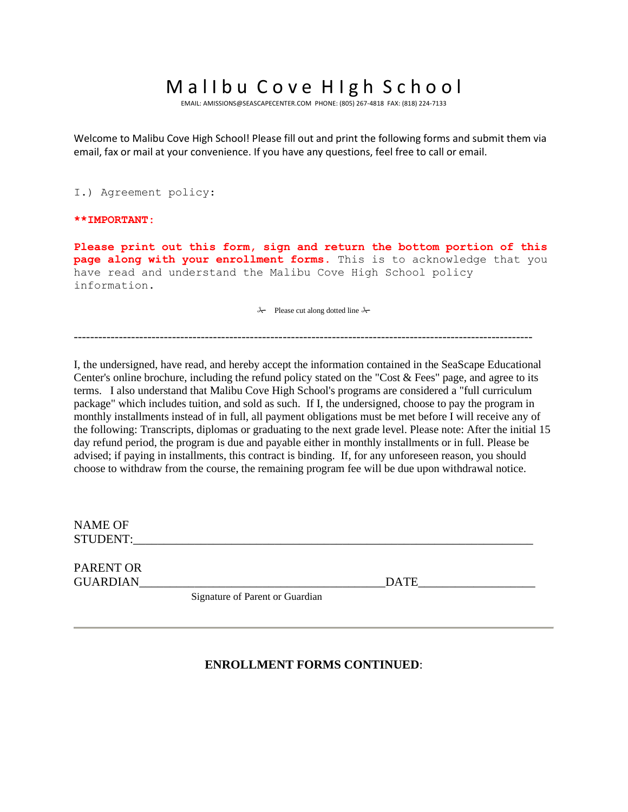## Mallbu Cove High School

EMAIL[: AMISSIONS@SEASCAPECENTER.COM](mailto:AMISSIONS@SEASCAPECENTER.COM) PHONE: (805) 267-4818 FAX: (818) 224-7133

Welcome to Malibu Cove High School! Please fill out and print the following forms and submit them via email, fax or mail at your convenience. If you have any questions, feel free to call or email.

I.) Agreement policy:

#### **\*\*IMPORTANT:**

**Please print out this form, sign and return the bottom portion of this page along with your enrollment forms.** This is to acknowledge that you have read and understand the Malibu Cove High School policy information.

 $\lambda$  Please cut along dotted line  $\lambda$ 

----------------------------------------------------------------------------------------------------------------

I, the undersigned, have read, and hereby accept the information contained in the SeaScape Educational Center's online brochure, including the refund policy stated on the "Cost & Fees" page, and agree to its terms. I also understand that Malibu Cove High School's programs are considered a "full curriculum package" which includes tuition, and sold as such. If I, the undersigned, choose to pay the program in monthly installments instead of in full, all payment obligations must be met before I will receive any of the following: Transcripts, diplomas or graduating to the next grade level. Please note: After the initial 15 day refund period, the program is due and payable either in monthly installments or in full. Please be advised; if paying in installments, this contract is binding. If, for any unforeseen reason, you should choose to withdraw from the course, the remaining program fee will be due upon withdrawal notice.

| NAME OF<br><b>STUDENT:</b> |             |
|----------------------------|-------------|
| <b>PARENT OR</b>           |             |
| <b>GUARDIAN</b>            | <b>DATE</b> |

Signature of Parent or Guardian

### **ENROLLMENT FORMS CONTINUED**: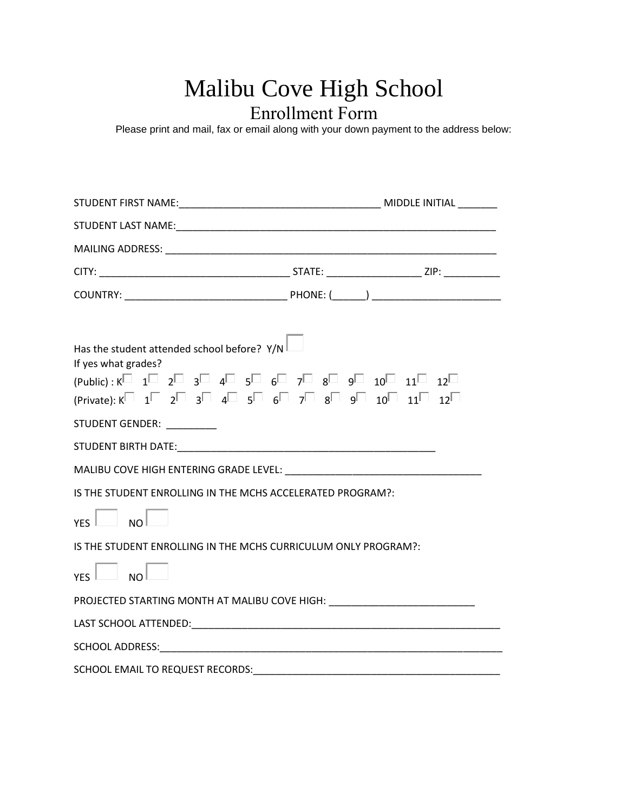# Malibu Cove High School Enrollment Form

Please print and mail, fax or email along with your down payment to the address below:

| Has the student attended school before? Y/N<br>If yes what grades?<br>$(Public): K^{\Box}$ 1 $\Box$ 2 $\Box$ 3 $\Box$ 4 $\Box$ 5 $\Box$ 6 $\Box$ 7 $\Box$ 8 $\Box$ 9 $\Box$ 10 $\Box$ 11 $\Box$ 12 $\Box$ |  |
|-----------------------------------------------------------------------------------------------------------------------------------------------------------------------------------------------------------|--|
| $(Private): K^{\square}$ 1 $\square$ 2 $\square$ 3 $\square$ 4 $\square$ 5 $\square$ 6 $\square$ 7 $\square$ 8 $\square$ 9 $\square$ 11 $\square$ 12 $\square$                                            |  |
| STUDENT GENDER: ___________                                                                                                                                                                               |  |
|                                                                                                                                                                                                           |  |
|                                                                                                                                                                                                           |  |
| IS THE STUDENT ENROLLING IN THE MCHS ACCELERATED PROGRAM?:                                                                                                                                                |  |
| $YES$ $NO$                                                                                                                                                                                                |  |
| IS THE STUDENT ENROLLING IN THE MCHS CURRICULUM ONLY PROGRAM?:                                                                                                                                            |  |
| $YFS$ $\Box$ NO $\Box$                                                                                                                                                                                    |  |
| PROJECTED STARTING MONTH AT MALIBU COVE HIGH: __________________________________                                                                                                                          |  |
|                                                                                                                                                                                                           |  |
|                                                                                                                                                                                                           |  |
| SCHOOL EMAIL TO REQUEST RECORDS:                                                                                                                                                                          |  |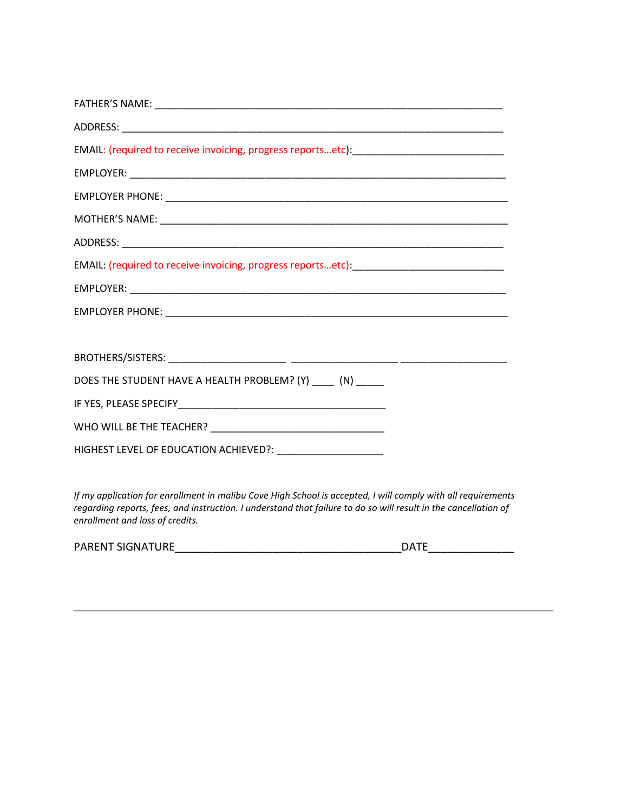| EMAIL: (required to receive invoicing, progress reportsetc): ___________________________________ |
|--------------------------------------------------------------------------------------------------|
|                                                                                                  |
|                                                                                                  |
|                                                                                                  |
|                                                                                                  |
| EMAIL: (required to receive invoicing, progress reportsetc): ___________________________________ |
|                                                                                                  |
|                                                                                                  |
|                                                                                                  |
|                                                                                                  |
| DOES THE STUDENT HAVE A HEALTH PROBLEM? (Y) ____ (N) ____                                        |
|                                                                                                  |
|                                                                                                  |
|                                                                                                  |
|                                                                                                  |

*If my application for enrollment in malibu Cove High School is accepted, I will comply with all requirements regarding reports, fees, and instruction. I understand that failure to do so will result in the cancellation of enrollment and loss of credits.*

| <b>PARENT SIGNATURE</b> | ⊤^∩ |
|-------------------------|-----|
|                         |     |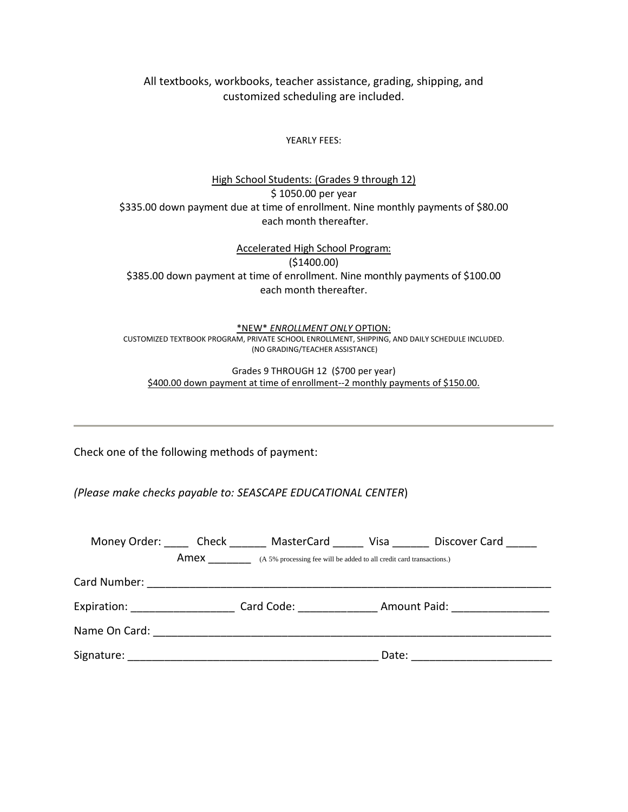All textbooks, workbooks, teacher assistance, grading, shipping, and customized scheduling are included.

YEARLY FEES:

High School Students: (Grades 9 through 12) \$ 1050.00 per year \$335.00 down payment due at time of enrollment. Nine monthly payments of \$80.00 each month thereafter.

Accelerated High School Program: (\$1400.00) \$385.00 down payment at time of enrollment. Nine monthly payments of \$100.00 each month thereafter.

\*NEW\* *ENROLLMENT ONLY* OPTION: CUSTOMIZED TEXTBOOK PROGRAM, PRIVATE SCHOOL ENROLLMENT, SHIPPING, AND DAILY SCHEDULE INCLUDED. (NO GRADING/TEACHER ASSISTANCE)

Grades 9 THROUGH 12 (\$700 per year) \$400.00 down payment at time of enrollment--2 monthly payments of \$150.00.

Check one of the following methods of payment:

*(Please make checks payable to: SEASCAPE EDUCATIONAL CENTER*)

| Money Order: Check |      | MasterCard                                                           | <b>Visa</b> | Discover Card                                  |
|--------------------|------|----------------------------------------------------------------------|-------------|------------------------------------------------|
|                    | Amex | (A 5% processing fee will be added to all credit card transactions.) |             |                                                |
|                    |      |                                                                      |             |                                                |
|                    |      |                                                                      |             | Expiration: Card Code: Card Code: Amount Paid: |
|                    |      |                                                                      |             |                                                |
| Signature:         |      |                                                                      | Date:       |                                                |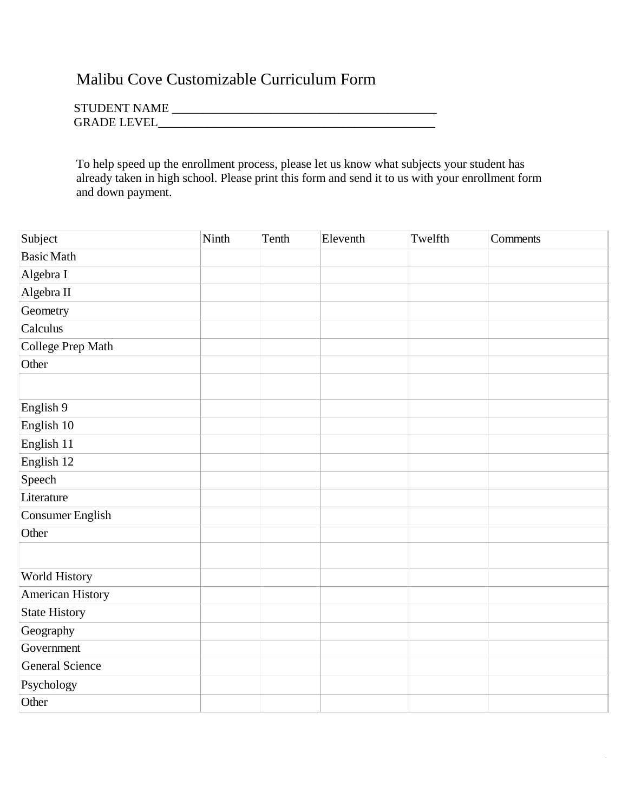### Malibu Cove Customizable Curriculum Form

| <b>STUDENT NAME</b> |  |
|---------------------|--|
| <b>GRADE LEVEL</b>  |  |

To help speed up the enrollment process, please let us know what subjects your student has already taken in high school. Please print this form and send it to us with your enrollment form and down payment.

| Subject                | Ninth | Tenth | Eleventh | Twelfth | Comments |
|------------------------|-------|-------|----------|---------|----------|
| <b>Basic Math</b>      |       |       |          |         |          |
| Algebra I              |       |       |          |         |          |
| Algebra II             |       |       |          |         |          |
| Geometry               |       |       |          |         |          |
| Calculus               |       |       |          |         |          |
| College Prep Math      |       |       |          |         |          |
| Other                  |       |       |          |         |          |
|                        |       |       |          |         |          |
| English 9              |       |       |          |         |          |
| English 10             |       |       |          |         |          |
| English 11             |       |       |          |         |          |
| English 12             |       |       |          |         |          |
| Speech                 |       |       |          |         |          |
| Literature             |       |       |          |         |          |
| Consumer English       |       |       |          |         |          |
| Other                  |       |       |          |         |          |
|                        |       |       |          |         |          |
| World History          |       |       |          |         |          |
| American History       |       |       |          |         |          |
| <b>State History</b>   |       |       |          |         |          |
| Geography              |       |       |          |         |          |
| Government             |       |       |          |         |          |
| <b>General Science</b> |       |       |          |         |          |
| Psychology             |       |       |          |         |          |
| Other                  |       |       |          |         |          |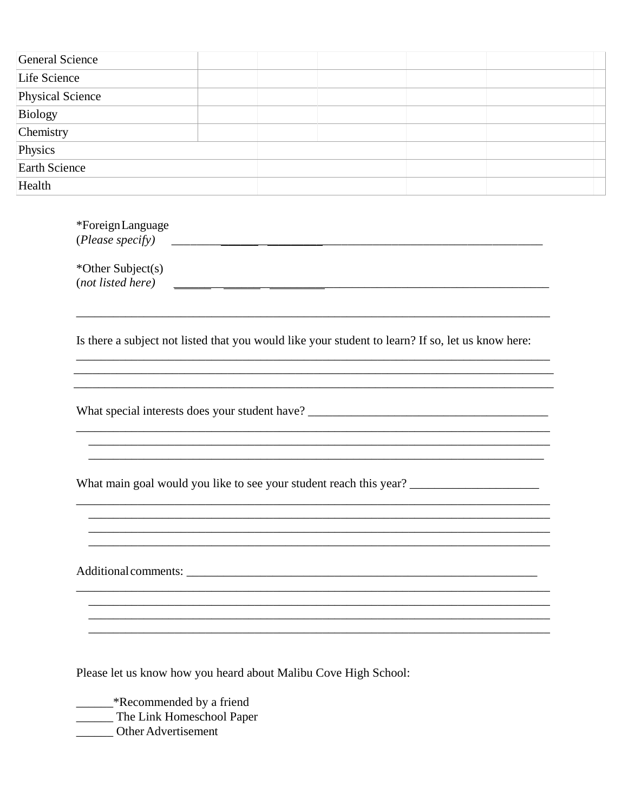| <b>General Science</b> |  |  |
|------------------------|--|--|
| Life Science           |  |  |
| Physical Science       |  |  |
| Biology                |  |  |
| Chemistry              |  |  |
| Physics                |  |  |
| Earth Science          |  |  |
| Health                 |  |  |

| *ForeignLanguage                                                                                                      |
|-----------------------------------------------------------------------------------------------------------------------|
| *Other Subject(s)<br>(not listed here)                                                                                |
| Is there a subject not listed that you would like your student to learn? If so, let us know here:                     |
|                                                                                                                       |
| <u> 1989 - Johann Stoff, deutscher Stoff, der Stoff, der Stoff, der Stoff, der Stoff, der Stoff, der Stoff, der S</u> |
|                                                                                                                       |

Please let us know how you heard about Malibu Cove High School:

**Example 18 AM**<br>The Link Homeschool Paper

\_\_\_\_\_\_\_ Other Advertisement